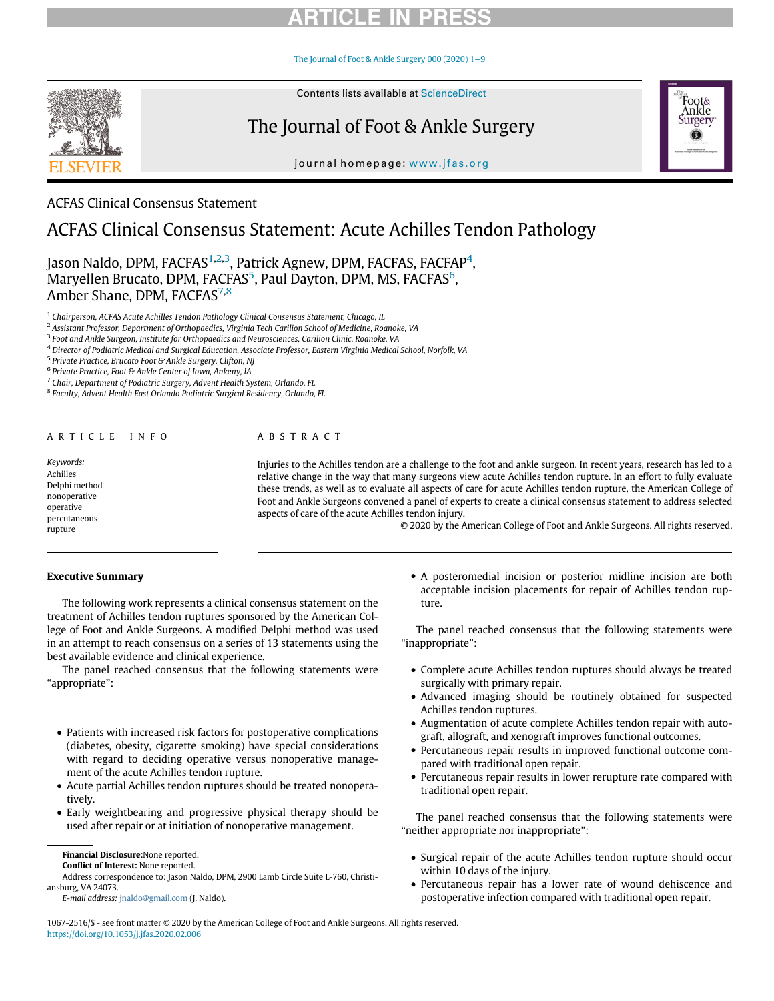The Journal of Foot & Ankle Surgery 000 (2020) 1−9



Contents lists available at ScienceDirect

## The Journal of Foot & Ankle Surgery

journal homepage: www.jfas.org



### ACFAS Clinical Consensus Statement

### ACFAS Clinical Consensus Statement: Acute Achilles Tendon Pathology

Jason Naldo, DPM, FACFAS<sup>1,2,3</sup>, Patrick Agnew, DPM, FACFAS, FACFAP<sup>4</sup>,  $\rm{Maryellen~Brucato, DPM, FACFAS^5, Paul~Dayton, DPM, MS, FACFAS^6,}$ Amber Shane, DPM, FACFAS<sup>7,8</sup>

<sup>1</sup> Chairperson, ACFAS Acute Achilles Tendon Pathology Clinical Consensus Statement, Chicago, IL

<sup>2</sup> Assistant Professor, Department of Orthopaedics, Virginia Tech Carilion School of Medicine, Roanoke, VA

<sup>3</sup> Foot and Ankle Surgeon, Institute for Orthopaedics and Neurosciences, Carilion Clinic, Roanoke, VA

<sup>4</sup> Director of Podiatric Medical and Surgical Education, Associate Professor, Eastern Virginia Medical School, Norfolk, VA

<sup>5</sup> Private Practice, Brucato Foot & Ankle Surgery, Clifton, NJ

 $6$  Private Practice, Foot & Ankle Center of Iowa, Ankeny, IA

<sup>7</sup> Chair, Department of Podiatric Surgery, Advent Health System, Orlando, FL

<sup>8</sup> Faculty, Advent Health East Orlando Podiatric Surgical Residency, Orlando, FL

### ARTICLE INFO ABSTRACT

Keywords: Achilles Delphi method nonoperative operative percutaneous rupture

Injuries to the Achilles tendon are a challenge to the foot and ankle surgeon. In recent years, research has led to a relative change in the way that many surgeons view acute Achilles tendon rupture. In an effort to fully evaluate these trends, as well as to evaluate all aspects of care for acute Achilles tendon rupture, the American College of Foot and Ankle Surgeons convened a panel of experts to create a clinical consensus statement to address selected aspects of care of the acute Achilles tendon injury.

© 2020 by the American College of Foot and Ankle Surgeons. All rights reserved.

### Executive Summary

The following work represents a clinical consensus statement on the treatment of Achilles tendon ruptures sponsored by the American College of Foot and Ankle Surgeons. A modified Delphi method was used in an attempt to reach consensus on a series of 13 statements using the best available evidence and clinical experience.

The panel reached consensus that the following statements were "appropriate":

- ! Patients with increased risk factors for postoperative complications (diabetes, obesity, cigarette smoking) have special considerations with regard to deciding operative versus nonoperative management of the acute Achilles tendon rupture.
- ! Acute partial Achilles tendon ruptures should be treated nonoperatively.
- ! Early weightbearing and progressive physical therapy should be used after repair or at initiation of nonoperative management.

Conflict of Interest: None reported.

! A posteromedial incision or posterior midline incision are both acceptable incision placements for repair of Achilles tendon rupture.

The panel reached consensus that the following statements were "inappropriate":

- ! Complete acute Achilles tendon ruptures should always be treated surgically with primary repair.
- ! Advanced imaging should be routinely obtained for suspected Achilles tendon ruptures.
- ! Augmentation of acute complete Achilles tendon repair with autograft, allograft, and xenograft improves functional outcomes.
- ! Percutaneous repair results in improved functional outcome compared with traditional open repair.
- ! Percutaneous repair results in lower rerupture rate compared with traditional open repair.

The panel reached consensus that the following statements were "neither appropriate nor inappropriate":

- ! Surgical repair of the acute Achilles tendon rupture should occur within 10 days of the injury.
- ! Percutaneous repair has a lower rate of wound dehiscence and postoperative infection compared with traditional open repair.

1067-2516/\$ - see front matter © 2020 by the American College of Foot and Ankle Surgeons. All rights reserved. https://doi.org/10.1053/j.jfas.2020.02.006

Financial Disclosure:None reported.

Address correspondence to: Jason Naldo, DPM, 2900 Lamb Circle Suite L-760, Christiansburg, VA 24073.

E-mail address: jnaldo@gmail.com (J. Naldo).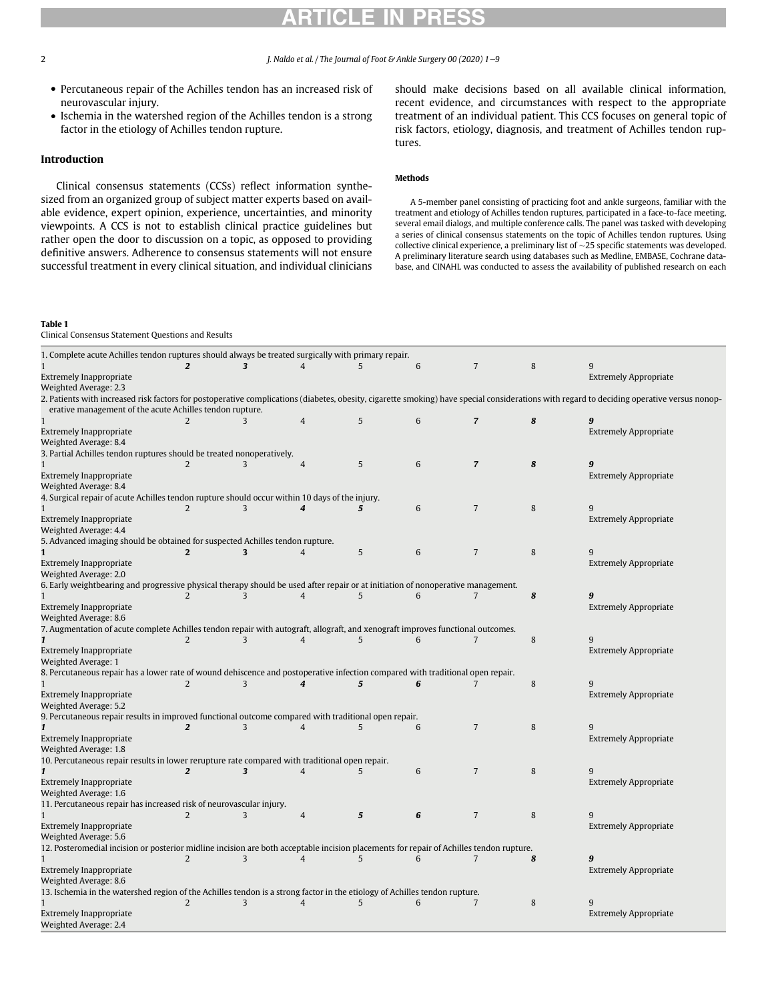2 J. Naldo et al. / The Journal of Foot & Ankle Surgery 00 (2020) 1−9

- ! Percutaneous repair of the Achilles tendon has an increased risk of neurovascular injury.
- ! Ischemia in the watershed region of the Achilles tendon is a strong factor in the etiology of Achilles tendon rupture.

### Introduction

Clinical consensus statements (CCSs) reflect information synthesized from an organized group of subject matter experts based on available evidence, expert opinion, experience, uncertainties, and minority viewpoints. A CCS is not to establish clinical practice guidelines but rather open the door to discussion on a topic, as opposed to providing definitive answers. Adherence to consensus statements will not ensure successful treatment in every clinical situation, and individual clinicians

Table 1

should make decisions based on all available clinical information, recent evidence, and circumstances with respect to the appropriate treatment of an individual patient. This CCS focuses on general topic of risk factors, etiology, diagnosis, and treatment of Achilles tendon ruptures.

### Methods

A 5-member panel consisting of practicing foot and ankle surgeons, familiar with the treatment and etiology of Achilles tendon ruptures, participated in a face-to-face meeting, several email dialogs, and multiple conference calls. The panel was tasked with developing a series of clinical consensus statements on the topic of Achilles tendon ruptures. Using collective clinical experience, a preliminary list of  $\sim$ 25 specific statements was developed. A preliminary literature search using databases such as Medline, EMBASE, Cochrane database, and CINAHL was conducted to assess the availability of published research on each

| Clinical Consensus Statement Questions and Results                                                                                      |                |                         |                  |                |                 |                         |         |                                                                                                                                                                                            |
|-----------------------------------------------------------------------------------------------------------------------------------------|----------------|-------------------------|------------------|----------------|-----------------|-------------------------|---------|--------------------------------------------------------------------------------------------------------------------------------------------------------------------------------------------|
| 1. Complete acute Achilles tendon ruptures should always be treated surgically with primary repair.                                     |                |                         |                  |                |                 |                         |         |                                                                                                                                                                                            |
| $\mathbf{1}$<br><b>Extremely Inappropriate</b>                                                                                          | $\overline{2}$ | 3                       | $\overline{4}$   | 5              | 6               | $\overline{7}$          | 8       | 9<br><b>Extremely Appropriate</b>                                                                                                                                                          |
| Weighted Average: 2.3                                                                                                                   |                |                         |                  |                |                 |                         |         |                                                                                                                                                                                            |
| erative management of the acute Achilles tendon rupture.                                                                                |                |                         |                  |                |                 |                         |         | 2. Patients with increased risk factors for postoperative complications (diabetes, obesity, cigarette smoking) have special considerations with regard to deciding operative versus nonop- |
| $\mathbf{1}$                                                                                                                            | 2              | κ                       | $\overline{4}$   | 5              | 6               | $\overline{\mathbf{z}}$ | 8       | 9                                                                                                                                                                                          |
| <b>Extremely Inappropriate</b>                                                                                                          |                |                         |                  |                |                 |                         |         | <b>Extremely Appropriate</b>                                                                                                                                                               |
| Weighted Average: 8.4                                                                                                                   |                |                         |                  |                |                 |                         |         |                                                                                                                                                                                            |
| 3. Partial Achilles tendon ruptures should be treated nonoperatively.                                                                   |                |                         |                  |                |                 |                         |         |                                                                                                                                                                                            |
|                                                                                                                                         | 2              | 3                       | $\overline{4}$   | 5              | 6               | $\overline{z}$          | 8       | 9                                                                                                                                                                                          |
| <b>Extremely Inappropriate</b>                                                                                                          |                |                         |                  |                |                 |                         |         | <b>Extremely Appropriate</b>                                                                                                                                                               |
| Weighted Average: 8.4                                                                                                                   |                |                         |                  |                |                 |                         |         |                                                                                                                                                                                            |
| 4. Surgical repair of acute Achilles tendon rupture should occur within 10 days of the injury.                                          |                |                         |                  |                |                 |                         |         |                                                                                                                                                                                            |
|                                                                                                                                         | 2              | 3                       | $\boldsymbol{4}$ | 5              | 6               | $\overline{7}$          | 8       | q                                                                                                                                                                                          |
| <b>Extremely Inappropriate</b>                                                                                                          |                |                         |                  |                |                 |                         |         | <b>Extremely Appropriate</b>                                                                                                                                                               |
| Weighted Average: 4.4                                                                                                                   |                |                         |                  |                |                 |                         |         |                                                                                                                                                                                            |
| 5. Advanced imaging should be obtained for suspected Achilles tendon rupture.                                                           |                |                         |                  |                |                 |                         |         |                                                                                                                                                                                            |
| $\mathbf{1}$                                                                                                                            | $\overline{2}$ | 3                       | $\overline{4}$   | 5              | 6               | $\overline{7}$          | 8       | 9                                                                                                                                                                                          |
| Extremely Inappropriate                                                                                                                 |                |                         |                  |                |                 |                         |         | <b>Extremely Appropriate</b>                                                                                                                                                               |
| Weighted Average: 2.0                                                                                                                   |                |                         |                  |                |                 |                         |         |                                                                                                                                                                                            |
| 6. Early weightbearing and progressive physical therapy should be used after repair or at initiation of nonoperative management.        |                |                         |                  |                |                 |                         |         |                                                                                                                                                                                            |
|                                                                                                                                         | $\mathfrak{D}$ | 3                       | $\overline{4}$   | 5              | 6               | $\overline{7}$          | 8       | 9                                                                                                                                                                                          |
| Extremely Inappropriate                                                                                                                 |                |                         |                  |                |                 |                         |         | <b>Extremely Appropriate</b>                                                                                                                                                               |
| Weighted Average: 8.6                                                                                                                   |                |                         |                  |                |                 |                         |         |                                                                                                                                                                                            |
| 7. Augmentation of acute complete Achilles tendon repair with autograft, allograft, and xenograft improves functional outcomes.         |                |                         |                  |                |                 |                         |         |                                                                                                                                                                                            |
| $\mathbf{1}$                                                                                                                            | $\overline{2}$ | 3                       | $\overline{4}$   | 5              | $6\overline{6}$ | $\overline{7}$          | $\,8\,$ | 9                                                                                                                                                                                          |
| Extremely Inappropriate                                                                                                                 |                |                         |                  |                |                 |                         |         | <b>Extremely Appropriate</b>                                                                                                                                                               |
| Weighted Average: 1                                                                                                                     |                |                         |                  |                |                 |                         |         |                                                                                                                                                                                            |
| 8. Percutaneous repair has a lower rate of wound dehiscence and postoperative infection compared with traditional open repair.          |                |                         |                  |                |                 |                         |         |                                                                                                                                                                                            |
| $\mathbf{1}$                                                                                                                            | 2              | 3                       | $\boldsymbol{4}$ | 5              | 6               | $\overline{7}$          | 8       | 9                                                                                                                                                                                          |
| Extremely Inappropriate                                                                                                                 |                |                         |                  |                |                 |                         |         | <b>Extremely Appropriate</b>                                                                                                                                                               |
| Weighted Average: 5.2                                                                                                                   |                |                         |                  |                |                 |                         |         |                                                                                                                                                                                            |
| 9. Percutaneous repair results in improved functional outcome compared with traditional open repair.                                    |                |                         |                  |                |                 |                         |         |                                                                                                                                                                                            |
| $\mathbf{1}$                                                                                                                            | $\overline{2}$ | 3                       | $\overline{4}$   | 5              | 6               | $\overline{7}$          | 8       | 9                                                                                                                                                                                          |
| <b>Extremely Inappropriate</b>                                                                                                          |                |                         |                  |                |                 |                         |         | <b>Extremely Appropriate</b>                                                                                                                                                               |
| Weighted Average: 1.8                                                                                                                   |                |                         |                  |                |                 |                         |         |                                                                                                                                                                                            |
| 10. Percutaneous repair results in lower rerupture rate compared with traditional open repair.                                          |                |                         |                  |                |                 |                         |         |                                                                                                                                                                                            |
|                                                                                                                                         | $\overline{2}$ | $\overline{\mathbf{3}}$ | $\overline{4}$   | 5              | 6               | $\overline{7}$          | 8       | q                                                                                                                                                                                          |
| <b>Extremely Inappropriate</b>                                                                                                          |                |                         |                  |                |                 |                         |         | <b>Extremely Appropriate</b>                                                                                                                                                               |
| Weighted Average: 1.6                                                                                                                   |                |                         |                  |                |                 |                         |         |                                                                                                                                                                                            |
| 11. Percutaneous repair has increased risk of neurovascular injury.                                                                     |                |                         |                  |                |                 |                         |         |                                                                                                                                                                                            |
| 1                                                                                                                                       | 2              | 3                       | $\overline{4}$   | $\overline{5}$ | 6               | $\overline{7}$          | 8       | 9                                                                                                                                                                                          |
| <b>Extremely Inappropriate</b>                                                                                                          |                |                         |                  |                |                 |                         |         | <b>Extremely Appropriate</b>                                                                                                                                                               |
| Weighted Average: 5.6                                                                                                                   |                |                         |                  |                |                 |                         |         |                                                                                                                                                                                            |
| 12. Posteromedial incision or posterior midline incision are both acceptable incision placements for repair of Achilles tendon rupture. |                |                         |                  |                |                 |                         |         |                                                                                                                                                                                            |
| $\mathbf{1}$                                                                                                                            | 2              | 3                       | $\overline{4}$   | 5              | 6               | $\overline{7}$          | 8       | 9                                                                                                                                                                                          |
| <b>Extremely Inappropriate</b>                                                                                                          |                |                         |                  |                |                 |                         |         | <b>Extremely Appropriate</b>                                                                                                                                                               |
| Weighted Average: 8.6                                                                                                                   |                |                         |                  |                |                 |                         |         |                                                                                                                                                                                            |
| 13. Ischemia in the watershed region of the Achilles tendon is a strong factor in the etiology of Achilles tendon rupture.              |                |                         |                  |                |                 |                         |         |                                                                                                                                                                                            |
| $\mathbf{1}$                                                                                                                            | 2              | 3                       | $\overline{4}$   | 5              | 6               | $\overline{7}$          | 8       | 9                                                                                                                                                                                          |
| <b>Extremely Inappropriate</b>                                                                                                          |                |                         |                  |                |                 |                         |         | <b>Extremely Appropriate</b>                                                                                                                                                               |
| Weighted Average: 2.4                                                                                                                   |                |                         |                  |                |                 |                         |         |                                                                                                                                                                                            |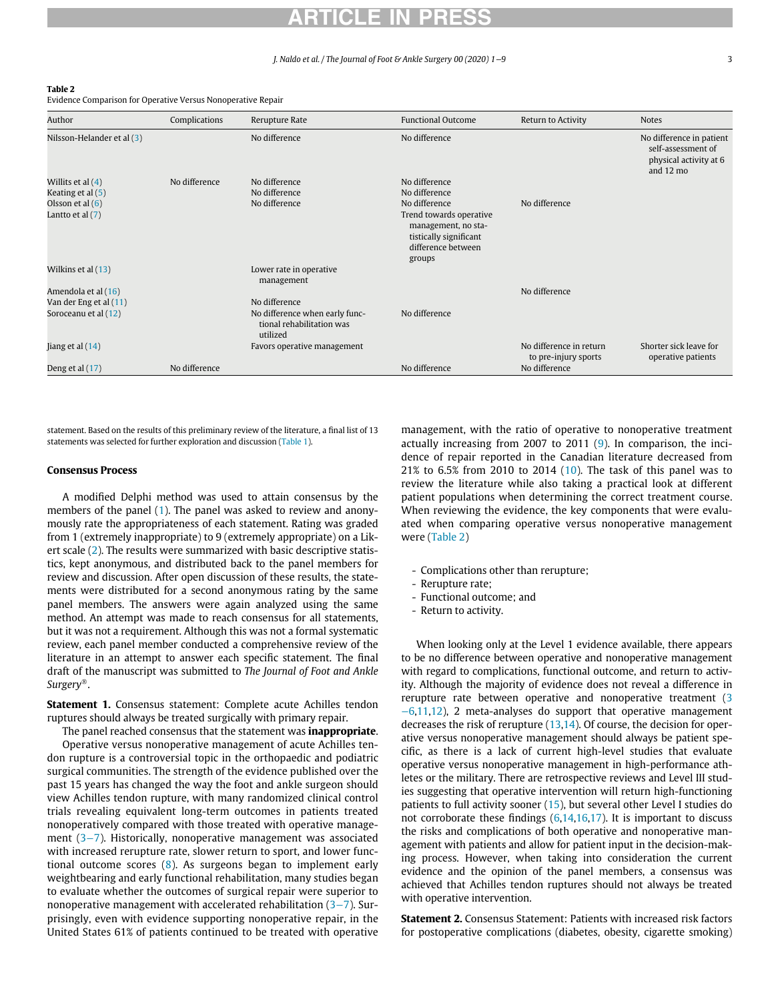#### J. Naldo et al. / The Journal of Foot & Ankle Surgery 00 (2020) 1−9 3

#### Table 2

Evidence Comparison for Operative Versus Nonoperative Repair

| Author                     | Complications | Rerupture Rate                                                          | <b>Functional Outcome</b>                                                                                | Return to Activity                              | <b>Notes</b>                                                                                    |
|----------------------------|---------------|-------------------------------------------------------------------------|----------------------------------------------------------------------------------------------------------|-------------------------------------------------|-------------------------------------------------------------------------------------------------|
| Nilsson-Helander et al (3) |               | No difference                                                           | No difference                                                                                            |                                                 | No difference in patient<br>self-assessment of<br>physical activity at 6<br>and $12 \text{ mo}$ |
| Willits et al $(4)$        | No difference | No difference                                                           | No difference                                                                                            |                                                 |                                                                                                 |
| Keating et al (5)          |               | No difference                                                           | No difference                                                                                            |                                                 |                                                                                                 |
| Olsson et al $(6)$         |               | No difference                                                           | No difference                                                                                            | No difference                                   |                                                                                                 |
| Lantto et al (7)           |               |                                                                         | Trend towards operative<br>management, no sta-<br>tistically significant<br>difference between<br>groups |                                                 |                                                                                                 |
| Wilkins et al (13)         |               | Lower rate in operative<br>management                                   |                                                                                                          |                                                 |                                                                                                 |
| Amendola et al (16)        |               |                                                                         |                                                                                                          | No difference                                   |                                                                                                 |
| Van der Eng et al (11)     |               | No difference                                                           |                                                                                                          |                                                 |                                                                                                 |
| Soroceanu et al (12)       |               | No difference when early func-<br>tional rehabilitation was<br>utilized | No difference                                                                                            |                                                 |                                                                                                 |
| Jiang et al $(14)$         |               | Favors operative management                                             |                                                                                                          | No difference in return<br>to pre-injury sports | Shorter sick leave for<br>operative patients                                                    |
| Deng et al (17)            | No difference |                                                                         | No difference                                                                                            | No difference                                   |                                                                                                 |

statement. Based on the results of this preliminary review of the literature, a final list of 13 statements was selected for further exploration and discussion (Table 1).

### Consensus Process

A modified Delphi method was used to attain consensus by the members of the panel (1). The panel was asked to review and anonymously rate the appropriateness of each statement. Rating was graded from 1 (extremely inappropriate) to 9 (extremely appropriate) on a Likert scale (2). The results were summarized with basic descriptive statistics, kept anonymous, and distributed back to the panel members for review and discussion. After open discussion of these results, the statements were distributed for a second anonymous rating by the same panel members. The answers were again analyzed using the same method. An attempt was made to reach consensus for all statements, but it was not a requirement. Although this was not a formal systematic review, each panel member conducted a comprehensive review of the literature in an attempt to answer each specific statement. The final draft of the manuscript was submitted to The Journal of Foot and Ankle  $Surgery^{\circledR}$ .

Statement 1. Consensus statement: Complete acute Achilles tendon ruptures should always be treated surgically with primary repair.

The panel reached consensus that the statement was **inappropriate**. Operative versus nonoperative management of acute Achilles tendon rupture is a controversial topic in the orthopaedic and podiatric surgical communities. The strength of the evidence published over the past 15 years has changed the way the foot and ankle surgeon should view Achilles tendon rupture, with many randomized clinical control trials revealing equivalent long-term outcomes in patients treated nonoperatively compared with those treated with operative management (3−7). Historically, nonoperative management was associated with increased rerupture rate, slower return to sport, and lower functional outcome scores (8). As surgeons began to implement early weightbearing and early functional rehabilitation, many studies began to evaluate whether the outcomes of surgical repair were superior to nonoperative management with accelerated rehabilitation (3−7). Surprisingly, even with evidence supporting nonoperative repair, in the United States 61% of patients continued to be treated with operative

management, with the ratio of operative to nonoperative treatment actually increasing from 2007 to 2011 (9). In comparison, the incidence of repair reported in the Canadian literature decreased from 21% to 6.5% from 2010 to 2014 (10). The task of this panel was to review the literature while also taking a practical look at different patient populations when determining the correct treatment course. When reviewing the evidence, the key components that were evaluated when comparing operative versus nonoperative management were (Table 2)

- Complications other than rerupture;
- Rerupture rate;
- Functional outcome; and
- Return to activity.

When looking only at the Level 1 evidence available, there appears to be no difference between operative and nonoperative management with regard to complications, functional outcome, and return to activity. Although the majority of evidence does not reveal a difference in rerupture rate between operative and nonoperative treatment (3 −6,11,12), 2 meta-analyses do support that operative management decreases the risk of rerupture  $(13,14)$ . Of course, the decision for operative versus nonoperative management should always be patient specific, as there is a lack of current high-level studies that evaluate operative versus nonoperative management in high-performance athletes or the military. There are retrospective reviews and Level III studies suggesting that operative intervention will return high-functioning patients to full activity sooner (15), but several other Level I studies do not corroborate these findings (6,14,16,17). It is important to discuss the risks and complications of both operative and nonoperative management with patients and allow for patient input in the decision-making process. However, when taking into consideration the current evidence and the opinion of the panel members, a consensus was achieved that Achilles tendon ruptures should not always be treated with operative intervention.

Statement 2. Consensus Statement: Patients with increased risk factors for postoperative complications (diabetes, obesity, cigarette smoking)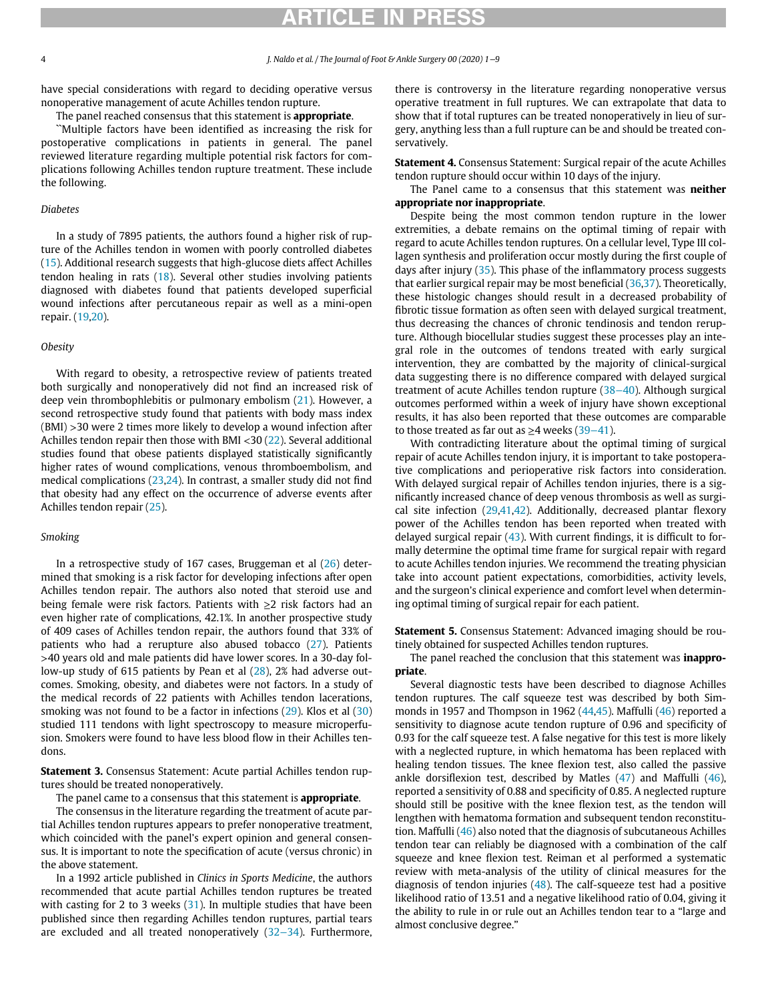# RTICLE IN PRI

have special considerations with regard to deciding operative versus nonoperative management of acute Achilles tendon rupture.

The panel reached consensus that this statement is **appropriate**.

``Multiple factors have been identified as increasing the risk for postoperative complications in patients in general. The panel reviewed literature regarding multiple potential risk factors for complications following Achilles tendon rupture treatment. These include the following.

### Diabetes

In a study of 7895 patients, the authors found a higher risk of rupture of the Achilles tendon in women with poorly controlled diabetes (15). Additional research suggests that high-glucose diets affect Achilles tendon healing in rats (18). Several other studies involving patients diagnosed with diabetes found that patients developed superficial wound infections after percutaneous repair as well as a mini-open repair. (19,20).

### **Obesity**

With regard to obesity, a retrospective review of patients treated both surgically and nonoperatively did not find an increased risk of deep vein thrombophlebitis or pulmonary embolism (21). However, a second retrospective study found that patients with body mass index (BMI) >30 were 2 times more likely to develop a wound infection after Achilles tendon repair then those with BMI <30 (22). Several additional studies found that obese patients displayed statistically significantly higher rates of wound complications, venous thromboembolism, and medical complications (23,24). In contrast, a smaller study did not find that obesity had any effect on the occurrence of adverse events after Achilles tendon repair (25).

### Smoking

In a retrospective study of 167 cases, Bruggeman et al (26) determined that smoking is a risk factor for developing infections after open Achilles tendon repair. The authors also noted that steroid use and being female were risk factors. Patients with  $\geq 2$  risk factors had an even higher rate of complications, 42.1%. In another prospective study of 409 cases of Achilles tendon repair, the authors found that 33% of patients who had a rerupture also abused tobacco (27). Patients >40 years old and male patients did have lower scores. In a 30-day follow-up study of 615 patients by Pean et al (28), 2% had adverse outcomes. Smoking, obesity, and diabetes were not factors. In a study of the medical records of 22 patients with Achilles tendon lacerations, smoking was not found to be a factor in infections (29). Klos et al (30) studied 111 tendons with light spectroscopy to measure microperfusion. Smokers were found to have less blood flow in their Achilles tendons.

Statement 3. Consensus Statement: Acute partial Achilles tendon ruptures should be treated nonoperatively.

The panel came to a consensus that this statement is **appropriate**.

The consensus in the literature regarding the treatment of acute partial Achilles tendon ruptures appears to prefer nonoperative treatment, which coincided with the panel's expert opinion and general consensus. It is important to note the specification of acute (versus chronic) in the above statement.

In a 1992 article published in Clinics in Sports Medicine, the authors recommended that acute partial Achilles tendon ruptures be treated with casting for 2 to 3 weeks (31). In multiple studies that have been published since then regarding Achilles tendon ruptures, partial tears are excluded and all treated nonoperatively (32−34). Furthermore, there is controversy in the literature regarding nonoperative versus operative treatment in full ruptures. We can extrapolate that data to show that if total ruptures can be treated nonoperatively in lieu of surgery, anything less than a full rupture can be and should be treated conservatively.

Statement 4. Consensus Statement: Surgical repair of the acute Achilles tendon rupture should occur within 10 days of the injury.

The Panel came to a consensus that this statement was neither appropriate nor inappropriate.

Despite being the most common tendon rupture in the lower extremities, a debate remains on the optimal timing of repair with regard to acute Achilles tendon ruptures. On a cellular level, Type III collagen synthesis and proliferation occur mostly during the first couple of days after injury (35). This phase of the inflammatory process suggests that earlier surgical repair may be most beneficial (36,37). Theoretically, these histologic changes should result in a decreased probability of fibrotic tissue formation as often seen with delayed surgical treatment, thus decreasing the chances of chronic tendinosis and tendon rerupture. Although biocellular studies suggest these processes play an integral role in the outcomes of tendons treated with early surgical intervention, they are combatted by the majority of clinical-surgical data suggesting there is no difference compared with delayed surgical treatment of acute Achilles tendon rupture (38−40). Although surgical outcomes performed within a week of injury have shown exceptional results, it has also been reported that these outcomes are comparable to those treated as far out as  $≥$ 4 weeks (39–41).

With contradicting literature about the optimal timing of surgical repair of acute Achilles tendon injury, it is important to take postoperative complications and perioperative risk factors into consideration. With delayed surgical repair of Achilles tendon injuries, there is a significantly increased chance of deep venous thrombosis as well as surgical site infection  $(29,41,42)$ . Additionally, decreased plantar flexory power of the Achilles tendon has been reported when treated with delayed surgical repair  $(43)$ . With current findings, it is difficult to formally determine the optimal time frame for surgical repair with regard to acute Achilles tendon injuries. We recommend the treating physician take into account patient expectations, comorbidities, activity levels, and the surgeon's clinical experience and comfort level when determining optimal timing of surgical repair for each patient.

Statement 5. Consensus Statement: Advanced imaging should be routinely obtained for suspected Achilles tendon ruptures.

The panel reached the conclusion that this statement was *inappro*priate.

Several diagnostic tests have been described to diagnose Achilles tendon ruptures. The calf squeeze test was described by both Simmonds in 1957 and Thompson in 1962 (44,45). Maffulli (46) reported a sensitivity to diagnose acute tendon rupture of 0.96 and specificity of 0.93 for the calf squeeze test. A false negative for this test is more likely with a neglected rupture, in which hematoma has been replaced with healing tendon tissues. The knee flexion test, also called the passive ankle dorsiflexion test, described by Matles (47) and Maffulli (46), reported a sensitivity of 0.88 and specificity of 0.85. A neglected rupture should still be positive with the knee flexion test, as the tendon will lengthen with hematoma formation and subsequent tendon reconstitution. Maffulli (46) also noted that the diagnosis of subcutaneous Achilles tendon tear can reliably be diagnosed with a combination of the calf squeeze and knee flexion test. Reiman et al performed a systematic review with meta-analysis of the utility of clinical measures for the diagnosis of tendon injuries  $(48)$ . The calf-squeeze test had a positive likelihood ratio of 13.51 and a negative likelihood ratio of 0.04, giving it the ability to rule in or rule out an Achilles tendon tear to a "large and almost conclusive degree."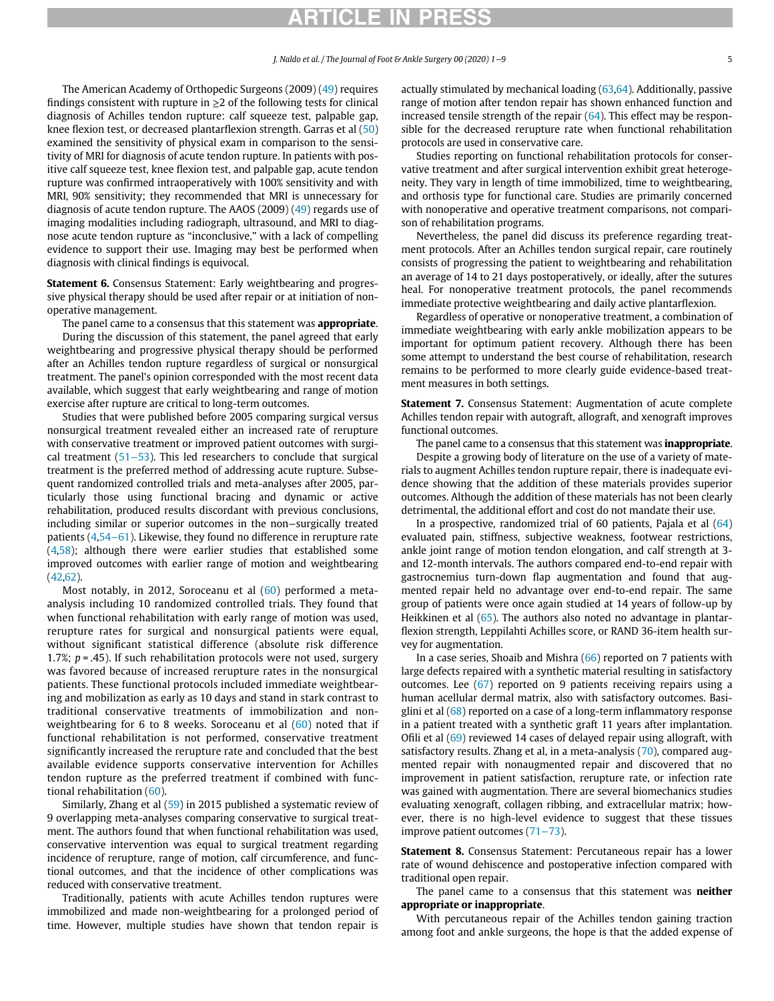## RTICLE IN PRE

The American Academy of Orthopedic Surgeons (2009) (49) requires findings consistent with rupture in  $\geq 2$  of the following tests for clinical diagnosis of Achilles tendon rupture: calf squeeze test, palpable gap, knee flexion test, or decreased plantarflexion strength. Garras et al (50) examined the sensitivity of physical exam in comparison to the sensitivity of MRI for diagnosis of acute tendon rupture. In patients with positive calf squeeze test, knee flexion test, and palpable gap, acute tendon rupture was confirmed intraoperatively with 100% sensitivity and with MRI, 90% sensitivity; they recommended that MRI is unnecessary for diagnosis of acute tendon rupture. The AAOS (2009) (49) regards use of imaging modalities including radiograph, ultrasound, and MRI to diagnose acute tendon rupture as "inconclusive," with a lack of compelling evidence to support their use. Imaging may best be performed when diagnosis with clinical findings is equivocal.

Statement 6. Consensus Statement: Early weightbearing and progressive physical therapy should be used after repair or at initiation of nonoperative management.

The panel came to a consensus that this statement was **appropriate**.

During the discussion of this statement, the panel agreed that early weightbearing and progressive physical therapy should be performed after an Achilles tendon rupture regardless of surgical or nonsurgical treatment. The panel's opinion corresponded with the most recent data available, which suggest that early weightbearing and range of motion exercise after rupture are critical to long-term outcomes.

Studies that were published before 2005 comparing surgical versus nonsurgical treatment revealed either an increased rate of rerupture with conservative treatment or improved patient outcomes with surgical treatment (51−53). This led researchers to conclude that surgical treatment is the preferred method of addressing acute rupture. Subsequent randomized controlled trials and meta-analyses after 2005, particularly those using functional bracing and dynamic or active rehabilitation, produced results discordant with previous conclusions, including similar or superior outcomes in the non−surgically treated patients (4,54−61). Likewise, they found no difference in rerupture rate (4,58); although there were earlier studies that established some improved outcomes with earlier range of motion and weightbearing (42,62).

Most notably, in 2012, Soroceanu et al (60) performed a metaanalysis including 10 randomized controlled trials. They found that when functional rehabilitation with early range of motion was used, rerupture rates for surgical and nonsurgical patients were equal, without significant statistical difference (absolute risk difference 1.7%;  $p = .45$ ). If such rehabilitation protocols were not used, surgery was favored because of increased rerupture rates in the nonsurgical patients. These functional protocols included immediate weightbearing and mobilization as early as 10 days and stand in stark contrast to traditional conservative treatments of immobilization and nonweightbearing for 6 to 8 weeks. Soroceanu et al (60) noted that if functional rehabilitation is not performed, conservative treatment significantly increased the rerupture rate and concluded that the best available evidence supports conservative intervention for Achilles tendon rupture as the preferred treatment if combined with functional rehabilitation (60).

Similarly, Zhang et al (59) in 2015 published a systematic review of 9 overlapping meta-analyses comparing conservative to surgical treatment. The authors found that when functional rehabilitation was used, conservative intervention was equal to surgical treatment regarding incidence of rerupture, range of motion, calf circumference, and functional outcomes, and that the incidence of other complications was reduced with conservative treatment.

Traditionally, patients with acute Achilles tendon ruptures were immobilized and made non-weightbearing for a prolonged period of time. However, multiple studies have shown that tendon repair is

actually stimulated by mechanical loading (63,64). Additionally, passive range of motion after tendon repair has shown enhanced function and increased tensile strength of the repair  $(64)$ . This effect may be responsible for the decreased rerupture rate when functional rehabilitation protocols are used in conservative care.

Studies reporting on functional rehabilitation protocols for conservative treatment and after surgical intervention exhibit great heterogeneity. They vary in length of time immobilized, time to weightbearing, and orthosis type for functional care. Studies are primarily concerned with nonoperative and operative treatment comparisons, not comparison of rehabilitation programs.

Nevertheless, the panel did discuss its preference regarding treatment protocols. After an Achilles tendon surgical repair, care routinely consists of progressing the patient to weightbearing and rehabilitation an average of 14 to 21 days postoperatively, or ideally, after the sutures heal. For nonoperative treatment protocols, the panel recommends immediate protective weightbearing and daily active plantarflexion.

Regardless of operative or nonoperative treatment, a combination of immediate weightbearing with early ankle mobilization appears to be important for optimum patient recovery. Although there has been some attempt to understand the best course of rehabilitation, research remains to be performed to more clearly guide evidence-based treatment measures in both settings.

Statement 7. Consensus Statement: Augmentation of acute complete Achilles tendon repair with autograft, allograft, and xenograft improves functional outcomes.

The panel came to a consensus that this statement was **inappropriate**. Despite a growing body of literature on the use of a variety of materials to augment Achilles tendon rupture repair, there is inadequate evidence showing that the addition of these materials provides superior outcomes. Although the addition of these materials has not been clearly detrimental, the additional effort and cost do not mandate their use.

In a prospective, randomized trial of 60 patients, Pajala et al (64) evaluated pain, stiffness, subjective weakness, footwear restrictions, ankle joint range of motion tendon elongation, and calf strength at 3 and 12-month intervals. The authors compared end-to-end repair with gastrocnemius turn-down flap augmentation and found that augmented repair held no advantage over end-to-end repair. The same group of patients were once again studied at 14 years of follow-up by Heikkinen et al (65). The authors also noted no advantage in plantarflexion strength, Leppilahti Achilles score, or RAND 36-item health survey for augmentation.

In a case series, Shoaib and Mishra (66) reported on 7 patients with large defects repaired with a synthetic material resulting in satisfactory outcomes. Lee (67) reported on 9 patients receiving repairs using a human acellular dermal matrix, also with satisfactory outcomes. Basiglini et al (68) reported on a case of a long-term inflammatory response in a patient treated with a synthetic graft 11 years after implantation. Ofili et al (69) reviewed 14 cases of delayed repair using allograft, with satisfactory results. Zhang et al, in a meta-analysis (70), compared augmented repair with nonaugmented repair and discovered that no improvement in patient satisfaction, rerupture rate, or infection rate was gained with augmentation. There are several biomechanics studies evaluating xenograft, collagen ribbing, and extracellular matrix; however, there is no high-level evidence to suggest that these tissues improve patient outcomes (71−73).

Statement 8. Consensus Statement: Percutaneous repair has a lower rate of wound dehiscence and postoperative infection compared with traditional open repair.

The panel came to a consensus that this statement was **neither** appropriate or inappropriate.

With percutaneous repair of the Achilles tendon gaining traction among foot and ankle surgeons, the hope is that the added expense of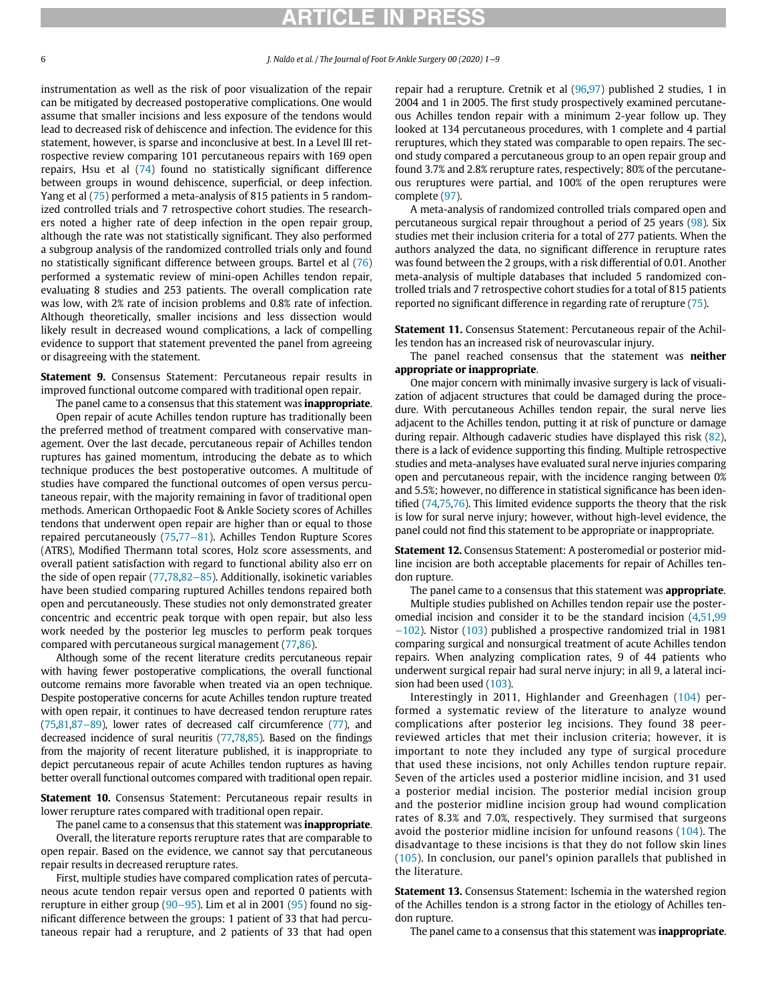# RTICLE IN PRI

instrumentation as well as the risk of poor visualization of the repair can be mitigated by decreased postoperative complications. One would assume that smaller incisions and less exposure of the tendons would lead to decreased risk of dehiscence and infection. The evidence for this statement, however, is sparse and inconclusive at best. In a Level III retrospective review comparing 101 percutaneous repairs with 169 open repairs, Hsu et al (74) found no statistically significant difference between groups in wound dehiscence, superficial, or deep infection. Yang et al (75) performed a meta-analysis of 815 patients in 5 randomized controlled trials and 7 retrospective cohort studies. The researchers noted a higher rate of deep infection in the open repair group, although the rate was not statistically significant. They also performed a subgroup analysis of the randomized controlled trials only and found no statistically significant difference between groups. Bartel et al (76) performed a systematic review of mini-open Achilles tendon repair, evaluating 8 studies and 253 patients. The overall complication rate was low, with 2% rate of incision problems and 0.8% rate of infection. Although theoretically, smaller incisions and less dissection would likely result in decreased wound complications, a lack of compelling evidence to support that statement prevented the panel from agreeing or disagreeing with the statement.

Statement 9. Consensus Statement: Percutaneous repair results in improved functional outcome compared with traditional open repair.

The panel came to a consensus that this statement was **inappropriate**. Open repair of acute Achilles tendon rupture has traditionally been the preferred method of treatment compared with conservative management. Over the last decade, percutaneous repair of Achilles tendon ruptures has gained momentum, introducing the debate as to which technique produces the best postoperative outcomes. A multitude of studies have compared the functional outcomes of open versus percutaneous repair, with the majority remaining in favor of traditional open methods. American Orthopaedic Foot & Ankle Society scores of Achilles tendons that underwent open repair are higher than or equal to those repaired percutaneously (75,77−81). Achilles Tendon Rupture Scores (ATRS), Modified Thermann total scores, Holz score assessments, and overall patient satisfaction with regard to functional ability also err on the side of open repair (77,78,82−85). Additionally, isokinetic variables have been studied comparing ruptured Achilles tendons repaired both open and percutaneously. These studies not only demonstrated greater concentric and eccentric peak torque with open repair, but also less work needed by the posterior leg muscles to perform peak torques compared with percutaneous surgical management (77,86).

Although some of the recent literature credits percutaneous repair with having fewer postoperative complications, the overall functional outcome remains more favorable when treated via an open technique. Despite postoperative concerns for acute Achilles tendon rupture treated with open repair, it continues to have decreased tendon rerupture rates (75,81,87−89), lower rates of decreased calf circumference (77), and decreased incidence of sural neuritis (77,78,85). Based on the findings from the majority of recent literature published, it is inappropriate to depict percutaneous repair of acute Achilles tendon ruptures as having better overall functional outcomes compared with traditional open repair.

Statement 10. Consensus Statement: Percutaneous repair results in lower rerupture rates compared with traditional open repair.

The panel came to a consensus that this statement was **inappropriate**.

Overall, the literature reports rerupture rates that are comparable to open repair. Based on the evidence, we cannot say that percutaneous repair results in decreased rerupture rates.

First, multiple studies have compared complication rates of percutaneous acute tendon repair versus open and reported 0 patients with rerupture in either group (90−95). Lim et al in 2001 (95) found no significant difference between the groups: 1 patient of 33 that had percutaneous repair had a rerupture, and 2 patients of 33 that had open repair had a rerupture. Cretnik et al (96,97) published 2 studies, 1 in 2004 and 1 in 2005. The first study prospectively examined percutaneous Achilles tendon repair with a minimum 2-year follow up. They looked at 134 percutaneous procedures, with 1 complete and 4 partial reruptures, which they stated was comparable to open repairs. The second study compared a percutaneous group to an open repair group and found 3.7% and 2.8% rerupture rates, respectively; 80% of the percutaneous reruptures were partial, and 100% of the open reruptures were complete (97).

A meta-analysis of randomized controlled trials compared open and percutaneous surgical repair throughout a period of 25 years (98). Six studies met their inclusion criteria for a total of 277 patients. When the authors analyzed the data, no significant difference in rerupture rates was found between the 2 groups, with a risk differential of 0.01. Another meta-analysis of multiple databases that included 5 randomized controlled trials and 7 retrospective cohort studies for a total of 815 patients reported no significant difference in regarding rate of rerupture (75).

Statement 11. Consensus Statement: Percutaneous repair of the Achilles tendon has an increased risk of neurovascular injury.

The panel reached consensus that the statement was **neither** appropriate or inappropriate.

One major concern with minimally invasive surgery is lack of visualization of adjacent structures that could be damaged during the procedure. With percutaneous Achilles tendon repair, the sural nerve lies adjacent to the Achilles tendon, putting it at risk of puncture or damage during repair. Although cadaveric studies have displayed this risk (82), there is a lack of evidence supporting this finding. Multiple retrospective studies and meta-analyses have evaluated sural nerve injuries comparing open and percutaneous repair, with the incidence ranging between 0% and 5.5%; however, no difference in statistical significance has been identified (74,75,76). This limited evidence supports the theory that the risk is low for sural nerve injury; however, without high-level evidence, the panel could not find this statement to be appropriate or inappropriate.

Statement 12. Consensus Statement: A posteromedial or posterior midline incision are both acceptable placements for repair of Achilles tendon rupture.

The panel came to a consensus that this statement was **appropriate**.

Multiple studies published on Achilles tendon repair use the posteromedial incision and consider it to be the standard incision (4,51,99 −102). Nistor (103) published a prospective randomized trial in 1981 comparing surgical and nonsurgical treatment of acute Achilles tendon repairs. When analyzing complication rates, 9 of 44 patients who underwent surgical repair had sural nerve injury; in all 9, a lateral incision had been used (103).

Interestingly in 2011, Highlander and Greenhagen (104) performed a systematic review of the literature to analyze wound complications after posterior leg incisions. They found 38 peerreviewed articles that met their inclusion criteria; however, it is important to note they included any type of surgical procedure that used these incisions, not only Achilles tendon rupture repair. Seven of the articles used a posterior midline incision, and 31 used a posterior medial incision. The posterior medial incision group and the posterior midline incision group had wound complication rates of 8.3% and 7.0%, respectively. They surmised that surgeons avoid the posterior midline incision for unfound reasons (104). The disadvantage to these incisions is that they do not follow skin lines (105). In conclusion, our panel's opinion parallels that published in the literature.

Statement 13. Consensus Statement: Ischemia in the watershed region of the Achilles tendon is a strong factor in the etiology of Achilles tendon rupture.

The panel came to a consensus that this statement was **inappropriate**.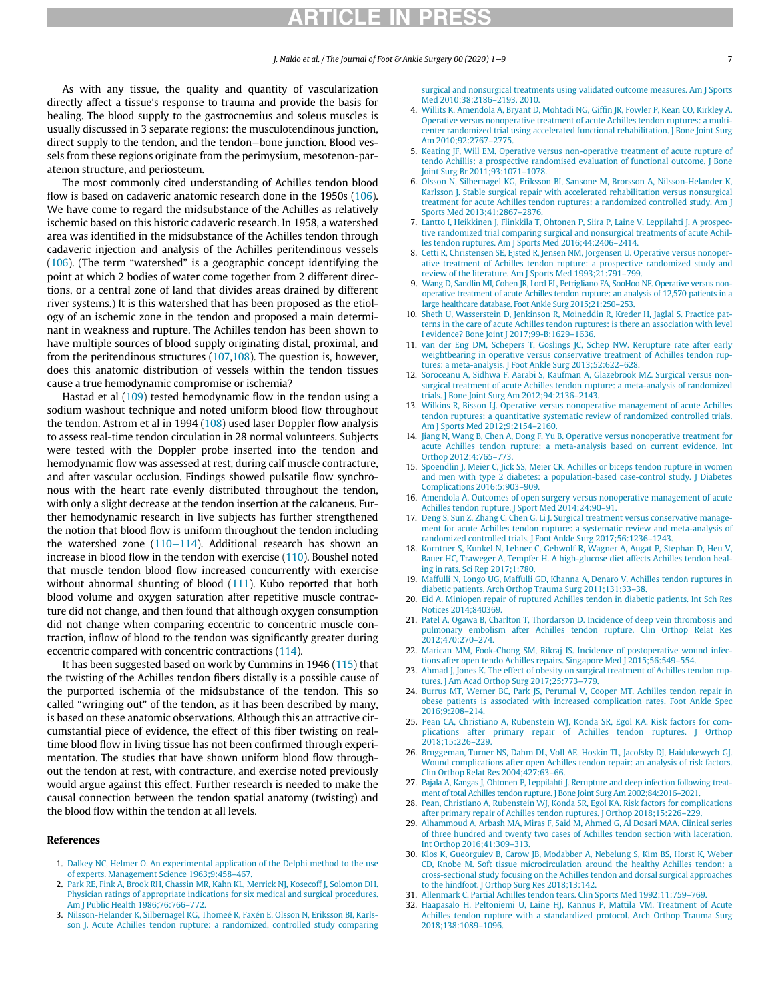As with any tissue, the quality and quantity of vascularization directly affect a tissue's response to trauma and provide the basis for healing. The blood supply to the gastrocnemius and soleus muscles is usually discussed in 3 separate regions: the musculotendinous junction, direct supply to the tendon, and the tendon−bone junction. Blood vessels from these regions originate from the perimysium, mesotenon-paratenon structure, and periosteum.

The most commonly cited understanding of Achilles tendon blood flow is based on cadaveric anatomic research done in the 1950s (106). We have come to regard the midsubstance of the Achilles as relatively ischemic based on this historic cadaveric research. In 1958, a watershed area was identified in the midsubstance of the Achilles tendon through cadaveric injection and analysis of the Achilles peritendinous vessels (106). (The term "watershed" is a geographic concept identifying the point at which 2 bodies of water come together from 2 different directions, or a central zone of land that divides areas drained by different river systems.) It is this watershed that has been proposed as the etiology of an ischemic zone in the tendon and proposed a main determinant in weakness and rupture. The Achilles tendon has been shown to have multiple sources of blood supply originating distal, proximal, and from the peritendinous structures (107,108). The question is, however, does this anatomic distribution of vessels within the tendon tissues cause a true hemodynamic compromise or ischemia?

Hastad et al (109) tested hemodynamic flow in the tendon using a sodium washout technique and noted uniform blood flow throughout the tendon. Astrom et al in 1994 (108) used laser Doppler flow analysis to assess real-time tendon circulation in 28 normal volunteers. Subjects were tested with the Doppler probe inserted into the tendon and hemodynamic flow was assessed at rest, during calf muscle contracture, and after vascular occlusion. Findings showed pulsatile flow synchronous with the heart rate evenly distributed throughout the tendon, with only a slight decrease at the tendon insertion at the calcaneus. Further hemodynamic research in live subjects has further strengthened the notion that blood flow is uniform throughout the tendon including the watershed zone (110−114). Additional research has shown an increase in blood flow in the tendon with exercise (110). Boushel noted that muscle tendon blood flow increased concurrently with exercise without abnormal shunting of blood (111). Kubo reported that both blood volume and oxygen saturation after repetitive muscle contracture did not change, and then found that although oxygen consumption did not change when comparing eccentric to concentric muscle contraction, inflow of blood to the tendon was significantly greater during eccentric compared with concentric contractions (114).

It has been suggested based on work by Cummins in 1946 (115) that the twisting of the Achilles tendon fibers distally is a possible cause of the purported ischemia of the midsubstance of the tendon. This so called "wringing out" of the tendon, as it has been described by many, is based on these anatomic observations. Although this an attractive circumstantial piece of evidence, the effect of this fiber twisting on realtime blood flow in living tissue has not been confirmed through experimentation. The studies that have shown uniform blood flow throughout the tendon at rest, with contracture, and exercise noted previously would argue against this effect. Further research is needed to make the causal connection between the tendon spatial anatomy (twisting) and the blood flow within the tendon at all levels.

#### References

- 1. Dalkey NC, Helmer O. An experimental application of the Delphi method to the use of experts. Management Science 1963;9:458–467.
- 2. Park RE, Fink A, Brook RH, Chassin MR, Kahn KL, Merrick NJ, Kosecoff J, Solomon DH. Physician ratings of appropriate indications for six medical and surgical procedures. Am J Public Health 1986;76:766–772.
- 3. Nilsson-Helander K, Silbernagel KG, Thomeé R, Faxén E, Olsson N, Eriksson BI, Karlsson J. Acute Achilles tendon rupture: a randomized, controlled study comparing

surgical and nonsurgical treatments using validated outcome measures. Am J Sports Med 2010;38:2186–2193. 2010.

- 4. Willits K, Amendola A, Bryant D, Mohtadi NG, Giffin JR, Fowler P, Kean CO, Kirkley A. Operative versus nonoperative treatment of acute Achilles tendon ruptures: a multicenter randomized trial using accelerated functional rehabilitation. J Bone Joint Surg Am 2010;92:2767–2775.
- 5. Keating JF, Will EM. Operative versus non-operative treatment of acute rupture of tendo Achillis: a prospective randomised evaluation of functional outcome. J Bone Joint Surg Br 2011;93:1071–1078.
- 6. Olsson N, Silbernagel KG, Eriksson BI, Sansone M, Brorsson A, Nilsson-Helander K, Karlsson J. Stable surgical repair with accelerated rehabilitation versus nonsurgical treatment for acute Achilles tendon ruptures: a randomized controlled study. Am J Sports Med 2013;41:2867–2876.
- 7. Lantto I, Heikkinen J, Flinkkila T, Ohtonen P, Siira P, Laine V, Leppilahti J. A prospective randomized trial comparing surgical and nonsurgical treatments of acute Achilles tendon ruptures. Am J Sports Med 2016;44:2406–2414.
- 8. Cetti R, Christensen SE, Ejsted R, Jensen NM, Jorgensen U. Operative versus nonoperative treatment of Achilles tendon rupture: a prospective randomized study and review of the literature. Am J Sports Med 1993;21:791–799.
- 9. Wang D, Sandlin MI, Cohen JR, Lord EL, Petrigliano FA, SooHoo NF. Operative versus nonoperative treatment of acute Achilles tendon rupture: an analysis of 12,570 patients in a large healthcare database. Foot Ankle Surg 2015;21:250–253.
- 10. Sheth U, Wasserstein D, Jenkinson R, Moineddin R, Kreder H, Jaglal S. Practice patterns in the care of acute Achilles tendon ruptures: is there an association with level I evidence? Bone Joint J 2017;99-B:1629–1636.
- 11. van der Eng DM, Schepers T, Goslings JC, Schep NW. Rerupture rate after early weightbearing in operative versus conservative treatment of Achilles tendon ruptures: a meta-analysis. J Foot Ankle Surg 2013;52:622–628.
- 12. Soroceanu A, Sidhwa F, Aarabi S, Kaufman A, Glazebrook MZ. Surgical versus nonsurgical treatment of acute Achilles tendon rupture: a meta-analysis of randomized trials. J Bone Joint Surg Am 2012;94:2136–2143.
- 13. Wilkins R, Bisson LJ. Operative versus nonoperative management of acute Achilles tendon ruptures: a quantitative systematic review of randomized controlled trials. Am J Sports Med 2012;9:2154–2160.
- 14. Jiang N, Wang B, Chen A, Dong F, Yu B. Operative versus nonoperative treatment for acute Achilles tendon rupture: a meta-analysis based on current evidence. Int Orthop 2012;4:765–773.
- 15. Spoendlin J, Meier C, Jick SS, Meier CR. Achilles or biceps tendon rupture in women and men with type 2 diabetes: a population-based case-control study. J Diabetes Complications 2016;5:903–909.
- 16. Amendola A. Outcomes of open surgery versus nonoperative management of acute Achilles tendon rupture. J Sport Med 2014;24:90–91.
- 17. Deng S, Sun Z, Zhang C, Chen G, Li J. Surgical treatment versus conservative management for acute Achilles tendon rupture: a systematic review and meta-analysis of randomized controlled trials. J Foot Ankle Surg 2017;56:1236–1243.
- 18. Korntner S, Kunkel N, Lehner C, Gehwolf R, Wagner A, Augat P, Stephan D, Heu V, Bauer HC, Traweger A, Tempfer H. A high-glucose diet affects Achilles tendon healing in rats. Sci Rep 2017;1:780.
- 19. Maffulli N, Longo UG, Maffulli GD, Khanna A, Denaro V. Achilles tendon ruptures in diabetic patients. Arch Orthop Trauma Surg 2011;131:33–38.
- 20. Eid A. Miniopen repair of ruptured Achilles tendon in diabetic patients. Int Sch Res Notices 2014;840369.
- 21. Patel A, Ogawa B, Charlton T, Thordarson D. Incidence of deep vein thrombosis and pulmonary embolism after Achilles tendon rupture. Clin Orthop Relat Res 2012;470:270–274.
- 22. Marican MM, Fook-Chong SM, Rikraj IS. Incidence of postoperative wound infections after open tendo Achilles repairs. Singapore Med J 2015;56:549–554.
- 23. Ahmad J, Jones K. The effect of obesity on surgical treatment of Achilles tendon ruptures. J Am Acad Orthop Surg 2017;25:773–779.
- 24. Burrus MT, Werner BC, Park JS, Perumal V, Cooper MT. Achilles tendon repair in obese patients is associated with increased complication rates. Foot Ankle Spec 2016;9:208–214.
- 25. Pean CA, Christiano A, Rubenstein WJ, Konda SR, Egol KA. Risk factors for complications after primary repair of Achilles tendon ruptures. J Orthop 2018;15:226–229.
- 26. Bruggeman, Turner NS, Dahm DL, Voll AE, Hoskin TL, Jacofsky DJ, Haidukewych GJ. Wound complications after open Achilles tendon repair: an analysis of risk factors. Clin Orthop Relat Res 2004;427:63–66.
- 27. Pajala A, Kangas J, Ohtonen P, Leppilahti J. Rerupture and deep infection following treatment of total Achilles tendon rupture. J Bone Joint Surg Am 2002;84:2016–2021.
- 28. Pean, Christiano A, Rubenstein WJ, Konda SR, Egol KA. Risk factors for complications after primary repair of Achilles tendon ruptures. J Orthop 2018;15:226–229.
- 29. Alhammoud A, Arbash MA, Miras F, Said M, Ahmed G, Al Dosari MAA. Clinical series of three hundred and twenty two cases of Achilles tendon section with laceration. Int Orthop 2016;41:309–313.
- 30. Klos K, Gueorguiev B, Carow JB, Modabber A, Nebelung S, Kim BS, Horst K, Weber CD, Knobe M. Soft tissue microcirculation around the healthy Achilles tendon: a cross-sectional study focusing on the Achilles tendon and dorsal surgical approaches to the hindfoot. J Orthop Surg Res 2018;13:142.
- 31. Allenmark C. Partial Achilles tendon tears. Clin Sports Med 1992;11:759–769.
- 32. Haapasalo H, Peltoniemi U, Laine HJ, Kannus P, Mattila VM. Treatment of Acute Achilles tendon rupture with a standardized protocol. Arch Orthop Trauma Surg 2018;138:1089–1096.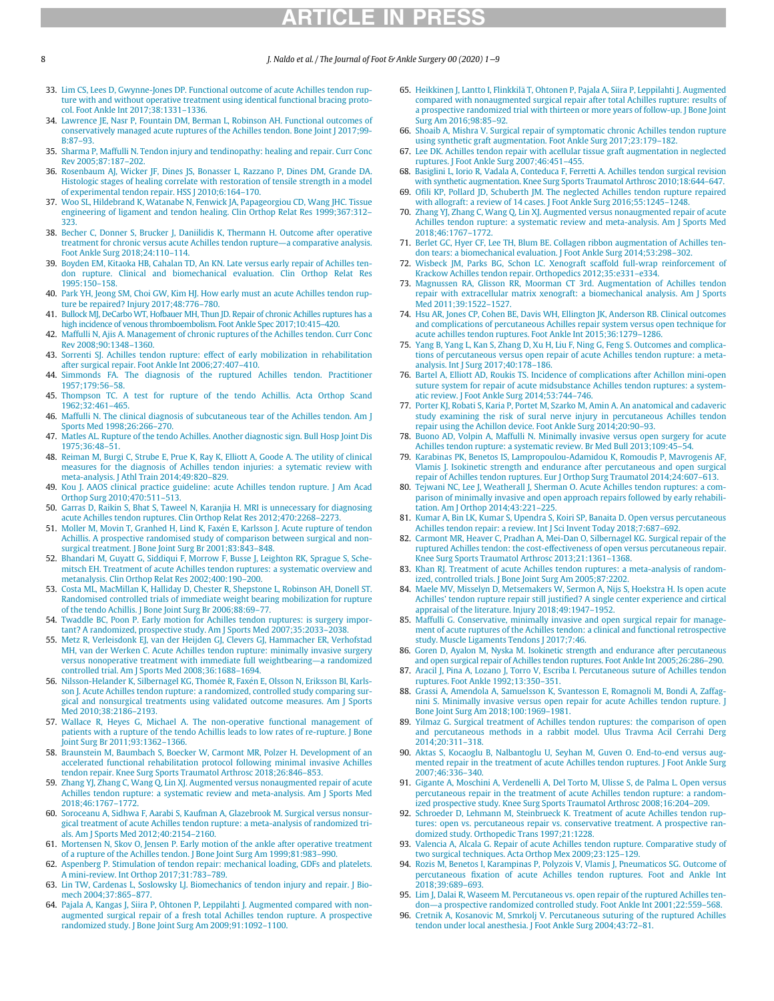### 8 J. Naldo et al. / The Journal of Foot & Ankle Surgery 00 (2020) 1−9

- 33. Lim CS, Lees D, Gwynne-Jones DP. Functional outcome of acute Achilles tendon rupture with and without operative treatment using identical functional bracing protocol. Foot Ankle Int 2017;38:1331–1336.
- 34. Lawrence JE, Nasr P, Fountain DM, Berman L, Robinson AH. Functional outcomes of conservatively managed acute ruptures of the Achilles tendon. Bone Joint J 2017;99- B:87–93.
- 35. Sharma P, Maffulli N. Tendon injury and tendinopathy: healing and repair. Curr Conc Rev 2005;87:187–202.
- 36. Rosenbaum AJ, Wicker JF, Dines JS, Bonasser L, Razzano P, Dines DM, Grande DA. Histologic stages of healing correlate with restoration of tensile strength in a model of experimental tendon repair. HSS J 2010;6:164–170.
- 37. Woo SL, Hildebrand K, Watanabe N, Fenwick JA, Papageorgiou CD, Wang JHC. Tissue engineering of ligament and tendon healing. Clin Orthop Relat Res 1999;367:312– 323.
- 38. Becher C, Donner S, Brucker J, Daniilidis K, Thermann H. Outcome after operative treatment for chronic versus acute Achilles tendon rupture—a comparative analysis. Foot Ankle Surg 2018;24:110–114.
- 39. Boyden EM, Kitaoka HB, Cahalan TD, An KN. Late versus early repair of Achilles tendon rupture. Clinical and biomechanical evaluation. Clin Orthop Relat Res 1995:150–158.
- 40. Park YH, Jeong SM, Choi GW, Kim HJ. How early must an acute Achilles tendon rupture be repaired? Injury 2017;48:776–780.
- 41. Bullock MJ, DeCarbo WT, Hofbauer MH, Thun JD. Repair of chronic Achilles ruptures has a high incidence of venous thromboembolism. Foot Ankle Spec 2017;10:415–420.
- 42. Maffulli N, Ajis A. Management of chronic ruptures of the Achilles tendon. Curr Conc Rev 2008;90:1348–1360.
- 43. Sorrenti SJ. Achilles tendon rupture: effect of early mobilization in rehabilitation after surgical repair. Foot Ankle Int 2006;27:407–410.
- 44. Simmonds FA. The diagnosis of the ruptured Achilles tendon. Practitioner 1957;179:56–58.
- 45. Thompson TC. A test for rupture of the tendo Achillis. Acta Orthop Scand 1962;32:461–465.
- 46. Maffulli N. The clinical diagnosis of subcutaneous tear of the Achilles tendon. Am J Sports Med 1998;26:266–270.
- 47. Matles AL. Rupture of the tendo Achilles. Another diagnostic sign. Bull Hosp Joint Dis 1975;36:48–51.
- 48. Reiman M, Burgi C, Strube E, Prue K, Ray K, Elliott A, Goode A. The utility of clinical measures for the diagnosis of Achilles tendon injuries: a sytematic review with meta-analysis. J Athl Train 2014;49:820–829.
- 49. Kou J. AAOS clinical practice guideline: acute Achilles tendon rupture. J Am Acad Orthop Surg 2010;470:511–513.
- 50. Garras D, Raikin S, Bhat S, Taweel N, Karanjia H. MRI is unnecessary for diagnosing acute Achilles tendon ruptures. Clin Orthop Relat Res 2012;470:2268–2273.
- 51. Moller M, Movin T, Granhed H, Lind K, Faxén E, Karlsson J, Acute rupture of tendon Achillis. A prospective randomised study of comparison between surgical and nonsurgical treatment. J Bone Joint Surg Br 2001;83:843–848.
- 52. Bhandari M, Guyatt G, Siddiqui F, Morrow F, Busse J, Leighton RK, Sprague S, Schemitsch EH. Treatment of acute Achilles tendon ruptures: a systematic overview and metanalysis. Clin Orthop Relat Res 2002;400:190–200.
- 53. Costa ML, MacMillan K, Halliday D, Chester R, Shepstone L, Robinson AH, Donell ST. Randomised controlled trials of immediate weight bearing mobilization for rupture of the tendo Achillis. J Bone Joint Surg Br 2006;88:69–77.
- 54. Twaddle BC, Poon P. Early motion for Achilles tendon ruptures: is surgery important? A randomized, prospective study. Am J Sports Med 2007;35:2033–2038.
- 55. Metz R, Verleisdonk EJ, van der Heijden GJ, Clevers GJ, Hammacher ER, Verhofstad MH, van der Werken C. Acute Achilles tendon rupture: minimally invasive surgery versus nonoperative treatment with immediate full weightbearing—a randomized controlled trial. Am J Sports Med 2008;36:1688–1694.
- 56. Nilsson-Helander K, Silbernagel KG, Thomée R, Faxén E, Olsson N, Eriksson BI, Karlsson J. Acute Achilles tendon rupture: a randomized, controlled study comparing surgical and nonsurgical treatments using validated outcome measures. Am J Sports Med 2010;38:2186–2193.
- 57. Wallace R, Heyes G, Michael A. The non-operative functional management of patients with a rupture of the tendo Achillis leads to low rates of re-rupture. J Bone Joint Surg Br 2011;93:1362–1366.
- 58. Braunstein M, Baumbach S, Boecker W, Carmont MR, Polzer H. Development of an accelerated functional rehabilitation protocol following minimal invasive Achilles tendon repair. Knee Surg Sports Traumatol Arthrosc 2018;26:846–853.
- 59. Zhang YJ, Zhang C, Wang Q, Lin XJ. Augmented versus nonaugmented repair of acute Achilles tendon rupture: a systematic review and meta-analysis. Am J Sports Med 2018;46:1767–1772.
- 60. Soroceanu A, Sidhwa F, Aarabi S, Kaufman A, Glazebrook M. Surgical versus nonsurgical treatment of acute Achilles tendon rupture: a meta-analysis of randomized trials. Am J Sports Med 2012;40:2154–2160.
- 61. Mortensen N, Skov O, Jensen P. Early motion of the ankle after operative treatment of a rupture of the Achilles tendon. J Bone Joint Surg Am 1999;81:983–990.
- 62. Aspenberg P. Stimulation of tendon repair: mechanical loading, GDFs and platelets. A mini-review. Int Orthop 2017;31:783–789.
- 63. Lin TW, Cardenas L, Soslowsky LJ. Biomechanics of tendon injury and repair. J Biomech 2004;37:865–877.
- 64. Pajala A, Kangas J, Siira P, Ohtonen P, Leppilahti J. Augmented compared with nonaugmented surgical repair of a fresh total Achilles tendon rupture. A prospective randomized study. J Bone Joint Surg Am 2009;91:1092–1100.
- 65. Heikkinen J, Lantto I, Flinkkilä T, Ohtonen P, Pajala A, Siira P, Leppilahti J. Augmented compared with nonaugmented surgical repair after total Achilles rupture: results of a prospective randomized trial with thirteen or more years of follow-up. J Bone Joint Surg Am 2016;98:85–92.
- 66. Shoaib A, Mishra V. Surgical repair of symptomatic chronic Achilles tendon rupture using synthetic graft augmentation. Foot Ankle Surg 2017;23:179–182.
- 67. Lee DK. Achilles tendon repair with acellular tissue graft augmentation in neglected ruptures. J Foot Ankle Surg 2007;46:451–455.
- 68. Basiglini L, Iorio R, Vadala A, Conteduca F, Ferretti A. Achilles tendon surgical revision with synthetic augmentation. Knee Surg Sports Traumatol Arthrosc 2010;18:644–647.
- 69. Ofili KP, Pollard JD, Schuberth JM. The neglected Achilles tendon rupture repaired with allograft: a review of 14 cases. J Foot Ankle Surg 2016;55:1245–1248.
- 70. Zhang YJ, Zhang C, Wang Q, Lin XJ. Augmented versus nonaugmented repair of acute Achilles tendon rupture: a systematic review and meta-analysis. Am J Sports Med 2018;46:1767–1772.
- 71. Berlet GC, Hyer CF, Lee TH, Blum BE. Collagen ribbon augmentation of Achilles tendon tears: a biomechanical evaluation. J Foot Ankle Surg 2014;53:298–302.
- 72. Wisbeck JM, Parks BG, Schon LC. Xenograft scaffold full-wrap reinforcement of Krackow Achilles tendon repair. Orthopedics 2012;35:e331–e334.
- 73. Magnussen RA, Glisson RR, Moorman CT 3rd. Augmentation of Achilles tendon repair with extracellular matrix xenograft: a biomechanical analysis. Am J Sports Med 2011;39:1522–1527.
- 74. Hsu AR, Jones CP, Cohen BE, Davis WH, Ellington JK, Anderson RB. Clinical outcomes and complications of percutaneous Achilles repair system versus open technique for acute achilles tendon ruptures. Foot Ankle Int 2015;36:1279–1286.
- 75. Yang B, Yang L, Kan S, Zhang D, Xu H, Liu F, Ning G, Feng S. Outcomes and complications of percutaneous versus open repair of acute Achilles tendon rupture: a metaanalysis. Int J Surg 2017;40:178–186.
- 76. Bartel A, Elliott AD, Roukis TS. Incidence of complications after Achillon mini-open suture system for repair of acute midsubstance Achilles tendon ruptures: a systematic review. J Foot Ankle Surg 2014;53:744–746.
- 77. Porter KJ, Robati S, Karia P, Portet M, Szarko M, Amin A. An anatomical and cadaveric study examining the risk of sural nerve injury in percutaneous Achilles tendon repair using the Achillon device. Foot Ankle Surg 2014;20:90–93.
- 78. Buono AD, Volpin A, Maffulli N. Minimally invasive versus open surgery for acute Achilles tendon rupture: a systematic review. Br Med Bull 2013;109:45–54.
- 79. Karabinas PK, Benetos IS, Lampropoulou-Adamidou K, Romoudis P, Mavrogenis AF, Vlamis J. Isokinetic strength and endurance after percutaneous and open surgical repair of Achilles tendon ruptures. Eur J Orthop Surg Traumatol 2014;24:607–613.
- 80. Tejwani NC, Lee J, Weatherall J, Sherman O. Acute Achilles tendon ruptures: a comparison of minimally invasive and open approach repairs followed by early rehabilitation. Am J Orthop 2014;43:221–225.
- 81. Kumar A, Bin LK, Kumar S, Upendra S, Koiri SP, Banaita D. Open versus percutaneous Achilles tendon repair: a review. Int J Sci Invent Today 2018;7:687–692.
- 82. Carmont MR, Heaver C, Pradhan A, Mei-Dan O, Silbernagel KG. Surgical repair of the ruptured Achilles tendon: the cost-effectiveness of open versus percutaneous repair. Knee Surg Sports Traumatol Arthrosc 2013;21:1361–1368.
- 83. Khan RJ. Treatment of acute Achilles tendon ruptures: a meta-analysis of randomized, controlled trials. J Bone Joint Surg Am 2005;87:2202.
- 84. Maele MV, Misselyn D, Metsemakers W, Sermon A, Nijs S, Hoekstra H. Is open acute Achilles' tendon rupture repair still justified? A single center experience and cirtical appraisal of the literature. Injury 2018;49:1947–1952.
- 85. Maffulli G. Conservative, minimally invasive and open surgical repair for management of acute ruptures of the Achilles tendon: a clinical and functional retrospective study. Muscle Ligaments Tendons J 2017;7:46.
- 86. Goren D, Ayalon M, Nyska M. Isokinetic strength and endurance after percutaneous and open surgical repair of Achilles tendon ruptures. Foot Ankle Int 2005;26:286–290.
- 87. Aracil J, Pina A, Lozano J, Torro V, Escriba I. Percutaneous suture of Achilles tendon ruptures. Foot Ankle 1992;13:350–351.
- 88. Grassi A, Amendola A, Samuelsson K, Svantesson E, Romagnoli M, Bondi A, Zaffagnini S. Minimally invasive versus open repair for acute Achilles tendon rupture. J Bone Joint Surg Am 2018;100:1969–1981.
- 89. Yilmaz G. Surgical treatment of Achilles tendon ruptures: the comparison of open and percutaneous methods in a rabbit model. Ulus Travma Acil Cerrahi Derg 2014;20:311–318.
- 90. Aktas S, Kocaoglu B, Nalbantoglu U, Seyhan M, Guven O. End-to-end versus augmented repair in the treatment of acute Achilles tendon ruptures. J Foot Ankle Surg 2007;46:336–340.
- 91. Gigante A, Moschini A, Verdenelli A, Del Torto M, Ulisse S, de Palma L. Open versus percutaneous repair in the treatment of acute Achilles tendon rupture: a randomized prospective study. Knee Surg Sports Traumatol Arthrosc 2008;16:204–209.
- 92. Schroeder D, Lehmann M, Steinbrueck K. Treatment of acute Achilles tendon ruptures: open vs. percutaneous repair vs. conservative treatment. A prospective randomized study. Orthopedic Trans 1997;21:1228.
- 93. Valencia A, Alcala G. Repair of acute Achilles tendon rupture. Comparative study of two surgical techniques. Acta Orthop Mex 2009;23:125–129.
- 94. Rozis M, Benetos I, Karampinas P, Polyzois V, Vlamis J, Pneumaticos SG. Outcome of percutaneous fixation of acute Achilles tendon ruptures. Foot and Ankle Int 2018;39:689–693.
- 95. Lim J, Dalai R, Waseem M. Percutaneous vs. open repair of the ruptured Achilles tendon—a prospective randomized controlled study. Foot Ankle Int 2001;22:559–568.
- 96. Cretnik A, Kosanovic M, Smrkolj V. Percutaneous suturing of the ruptured Achilles tendon under local anesthesia. J Foot Ankle Surg 2004;43:72–81.